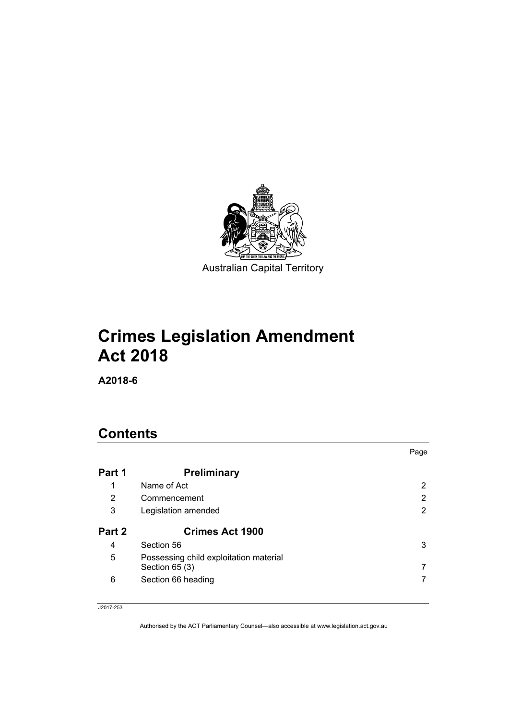

# **Crimes Legislation Amendment Act 2018**

**A2018-6** 

# **Contents**

|        |                                                           | Page |
|--------|-----------------------------------------------------------|------|
| Part 1 | <b>Preliminary</b>                                        |      |
| 1      | Name of Act                                               | 2    |
| 2      | Commencement                                              | 2    |
| 3      | Legislation amended                                       | 2    |
| Part 2 | <b>Crimes Act 1900</b>                                    |      |
| 4      | Section 56                                                | 3    |
| 5      | Possessing child exploitation material<br>Section $65(3)$ |      |
| 6      | Section 66 heading                                        |      |

#### J2017-253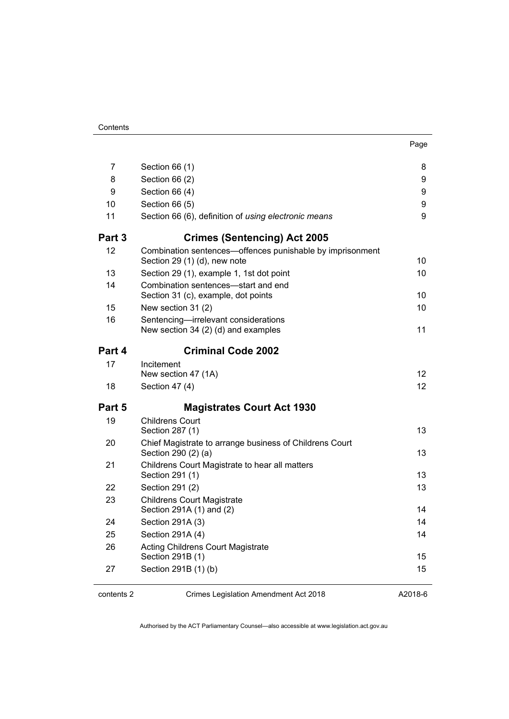| 7      | Section 66 (1)                                                                            | 8               |
|--------|-------------------------------------------------------------------------------------------|-----------------|
| 8      | Section 66 (2)                                                                            | 9               |
| 9      | Section 66 (4)                                                                            | 9               |
| 10     | Section 66 (5)                                                                            | 9               |
| 11     | Section 66 (6), definition of using electronic means                                      | 9               |
| Part 3 | <b>Crimes (Sentencing) Act 2005</b>                                                       |                 |
| 12     | Combination sentences-offences punishable by imprisonment<br>Section 29 (1) (d), new note | 10              |
| 13     | Section 29 (1), example 1, 1st dot point                                                  | 10              |
| 14     | Combination sentences-start and end<br>Section 31 (c), example, dot points                | 10              |
| 15     | New section 31 (2)                                                                        | 10              |
| 16     | Sentencing-irrelevant considerations<br>New section 34 (2) (d) and examples               | 11              |
| Part 4 | <b>Criminal Code 2002</b>                                                                 |                 |
| 17     | Incitement<br>New section 47 (1A)                                                         | 12              |
| 18     | Section 47 (4)                                                                            | 12 <sup>2</sup> |
| Part 5 | <b>Magistrates Court Act 1930</b>                                                         |                 |
| 19     | Childrens Court<br>Section 287 (1)                                                        | 13              |
| 20     | Chief Magistrate to arrange business of Childrens Court<br>Section 290 (2) (a)            | 13              |
| 21     | Childrens Court Magistrate to hear all matters<br>Section 291 (1)                         | 13              |
| 22     | Section 291 (2)                                                                           | 13              |
| 23     | <b>Childrens Court Magistrate</b><br>Section 291A (1) and (2)                             | 14              |
| 24     | Section 291A (3)                                                                          | 14              |
| 25     | Section 291A (4)                                                                          | 14              |
| 26     | <b>Acting Childrens Court Magistrate</b><br>Section 291B (1)                              | 15              |
| 27     | Section 291B (1) (b)                                                                      | 15              |

 $\overline{a}$ 

contents 2 Crimes Legislation Amendment Act 2018

A2018-6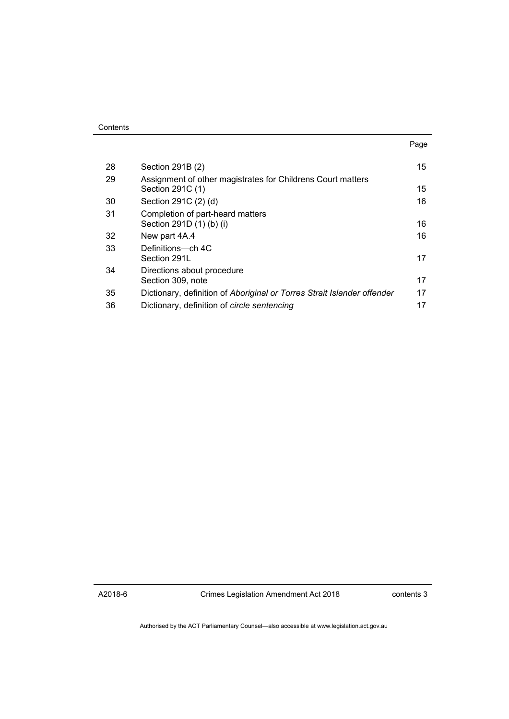| Contents |
|----------|
|----------|

|    |                                                                                 | Page |
|----|---------------------------------------------------------------------------------|------|
| 28 | Section 291B (2)                                                                | 15   |
| 29 | Assignment of other magistrates for Childrens Court matters<br>Section 291C (1) | 15   |
| 30 | Section 291C (2) (d)                                                            | 16   |
| 31 | Completion of part-heard matters<br>Section 291D (1) (b) (i)                    | 16   |
| 32 | New part 4A.4                                                                   | 16   |
| 33 | Definitions—ch 4C<br>Section 291L                                               | 17   |
| 34 | Directions about procedure<br>Section 309, note                                 | 17   |
| 35 | Dictionary, definition of Aboriginal or Torres Strait Islander offender         | 17   |
| 36 | Dictionary, definition of circle sentencing                                     | 17   |

A2018-6

Crimes Legislation Amendment Act 2018

contents 3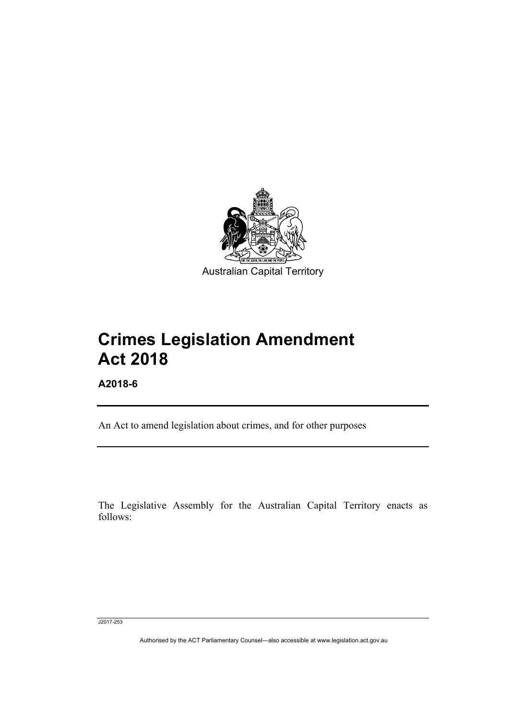

# **Crimes Legislation Amendment Act 2018**

**A2018-6** 

Ī

An Act to amend legislation about crimes, and for other purposes

The Legislative Assembly for the Australian Capital Territory enacts as follows:

J2017-253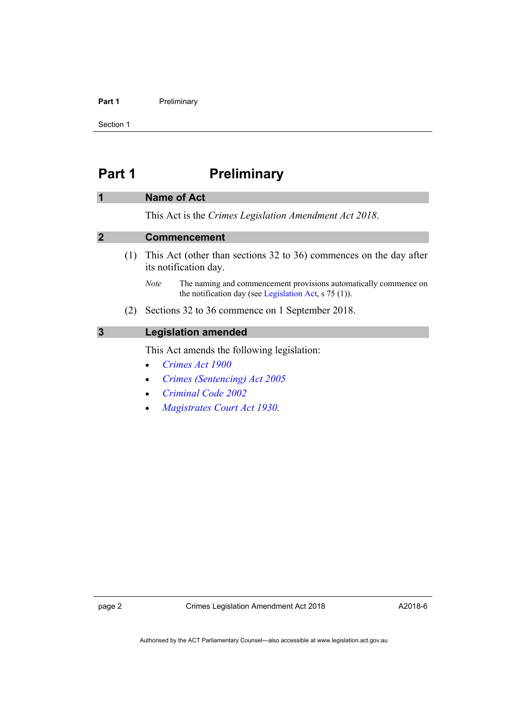#### Part 1 **Preliminary**

Section 1

# <span id="page-5-0"></span>**Part 1** Preliminary

#### <span id="page-5-1"></span>**1 Name of Act**

This Act is the *Crimes Legislation Amendment Act 2018*.

#### <span id="page-5-2"></span>**2 Commencement**

- (1) This Act (other than sections 32 to 36) commences on the day after its notification day.
	- *Note* The naming and commencement provisions automatically commence on the notification day (see [Legislation Act,](http://www.legislation.act.gov.au/a/2001-14) s 75 (1)).
- (2) Sections 32 to 36 commence on 1 September 2018.

# <span id="page-5-3"></span>**3 Legislation amended**

This Act amends the following legislation:

- *[Crimes Act 1900](http://www.legislation.act.gov.au/a/1900-40)*
- *[Crimes \(Sentencing\) Act 2005](http://www.legislation.act.gov.au/a/2005-58)*
- *[Criminal Code 2002](http://www.legislation.act.gov.au/a/2002-51)*
- *[Magistrates Court Act 1930](http://www.legislation.act.gov.au/a/1930-21).*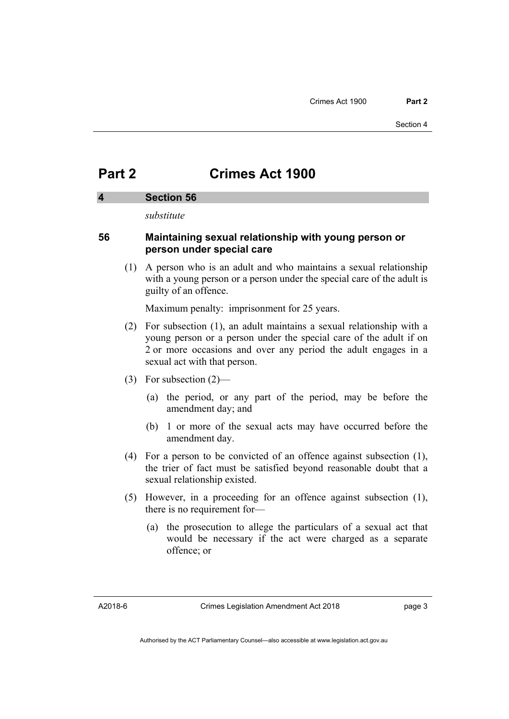# <span id="page-6-0"></span>**Part 2 Crimes Act 1900**

### <span id="page-6-1"></span>**4 Section 56**

*substitute* 

# **56 Maintaining sexual relationship with young person or person under special care**

 (1) A person who is an adult and who maintains a sexual relationship with a young person or a person under the special care of the adult is guilty of an offence.

Maximum penalty: imprisonment for 25 years.

- (2) For subsection (1), an adult maintains a sexual relationship with a young person or a person under the special care of the adult if on 2 or more occasions and over any period the adult engages in a sexual act with that person.
- (3) For subsection (2)—
	- (a) the period, or any part of the period, may be before the amendment day; and
	- (b) 1 or more of the sexual acts may have occurred before the amendment day.
- (4) For a person to be convicted of an offence against subsection (1), the trier of fact must be satisfied beyond reasonable doubt that a sexual relationship existed.
- (5) However, in a proceeding for an offence against subsection (1), there is no requirement for—
	- (a) the prosecution to allege the particulars of a sexual act that would be necessary if the act were charged as a separate offence; or

A2018-6

page 3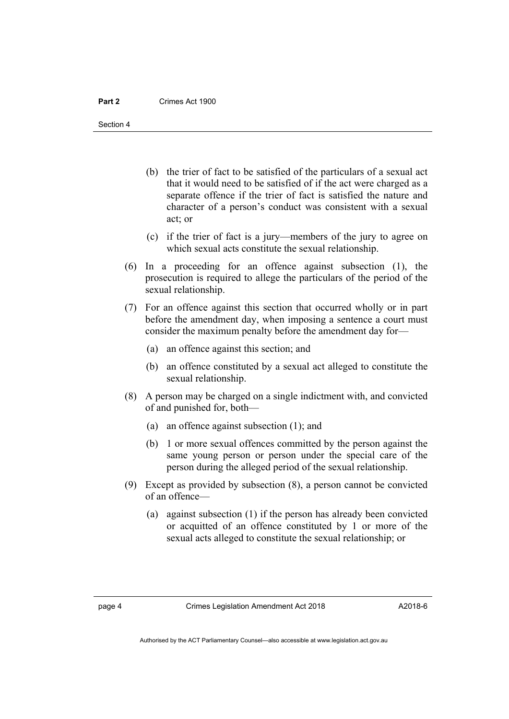Section 4

- (b) the trier of fact to be satisfied of the particulars of a sexual act that it would need to be satisfied of if the act were charged as a separate offence if the trier of fact is satisfied the nature and character of a person's conduct was consistent with a sexual act; or
- (c) if the trier of fact is a jury—members of the jury to agree on which sexual acts constitute the sexual relationship.
- (6) In a proceeding for an offence against subsection (1), the prosecution is required to allege the particulars of the period of the sexual relationship.
- (7) For an offence against this section that occurred wholly or in part before the amendment day, when imposing a sentence a court must consider the maximum penalty before the amendment day for—
	- (a) an offence against this section; and
	- (b) an offence constituted by a sexual act alleged to constitute the sexual relationship.
- (8) A person may be charged on a single indictment with, and convicted of and punished for, both—
	- (a) an offence against subsection (1); and
	- (b) 1 or more sexual offences committed by the person against the same young person or person under the special care of the person during the alleged period of the sexual relationship.
- (9) Except as provided by subsection (8), a person cannot be convicted of an offence—
	- (a) against subsection (1) if the person has already been convicted or acquitted of an offence constituted by 1 or more of the sexual acts alleged to constitute the sexual relationship; or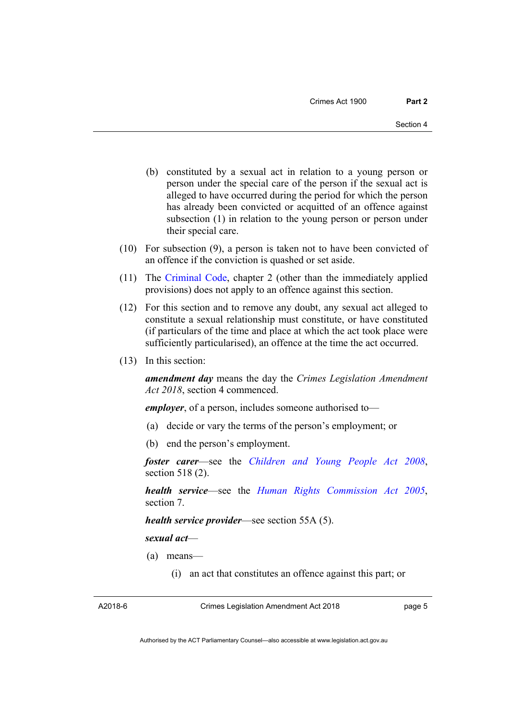- (b) constituted by a sexual act in relation to a young person or person under the special care of the person if the sexual act is alleged to have occurred during the period for which the person has already been convicted or acquitted of an offence against subsection (1) in relation to the young person or person under their special care.
- (10) For subsection (9), a person is taken not to have been convicted of an offence if the conviction is quashed or set aside.
- (11) The [Criminal Code,](http://www.legislation.act.gov.au/a/2002-51) chapter 2 (other than the immediately applied provisions) does not apply to an offence against this section.
- (12) For this section and to remove any doubt, any sexual act alleged to constitute a sexual relationship must constitute, or have constituted (if particulars of the time and place at which the act took place were sufficiently particularised), an offence at the time the act occurred.
- (13) In this section:

*amendment day* means the day the *Crimes Legislation Amendment Act 2018*, section 4 commenced.

*employer*, of a person, includes someone authorised to—

- (a) decide or vary the terms of the person's employment; or
- (b) end the person's employment.

*foster carer*—see the *[Children and Young People Act 2008](http://www.legislation.act.gov.au/a/2008-19)*, section 518 (2).

*health service*—see the *[Human Rights Commission Act 2005](http://www.legislation.act.gov.au/a/2005-40)*, section 7.

*health service provider*—see section 55A (5).

*sexual act*—

- (a) means—
	- (i) an act that constitutes an offence against this part; or

A2018-6

Crimes Legislation Amendment Act 2018

page 5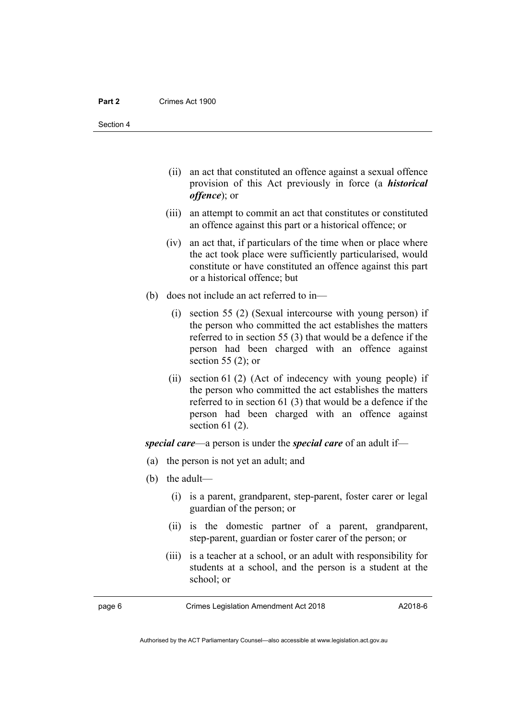Section 4

- (ii) an act that constituted an offence against a sexual offence provision of this Act previously in force (a *historical offence*); or
- (iii) an attempt to commit an act that constitutes or constituted an offence against this part or a historical offence; or
- (iv) an act that, if particulars of the time when or place where the act took place were sufficiently particularised, would constitute or have constituted an offence against this part or a historical offence; but
- (b) does not include an act referred to in—
	- (i) section 55 (2) (Sexual intercourse with young person) if the person who committed the act establishes the matters referred to in section 55 (3) that would be a defence if the person had been charged with an offence against section 55 $(2)$ ; or
	- (ii) section 61 (2) (Act of indecency with young people) if the person who committed the act establishes the matters referred to in section 61 (3) that would be a defence if the person had been charged with an offence against section 61 (2).

*special care*—a person is under the *special care* of an adult if—

- (a) the person is not yet an adult; and
- (b) the adult—
	- (i) is a parent, grandparent, step-parent, foster carer or legal guardian of the person; or
	- (ii) is the domestic partner of a parent, grandparent, step-parent, guardian or foster carer of the person; or
	- (iii) is a teacher at a school, or an adult with responsibility for students at a school, and the person is a student at the school; or

page 6 Crimes Legislation Amendment Act 2018

Authorised by the ACT Parliamentary Counsel—also accessible at www.legislation.act.gov.au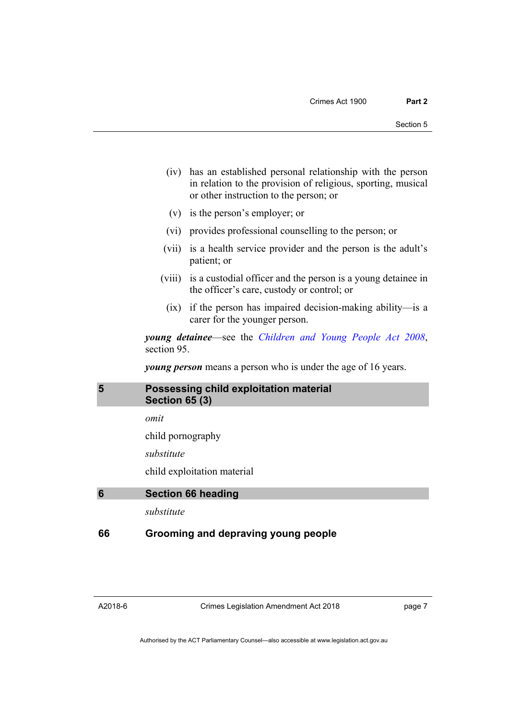- (iv) has an established personal relationship with the person in relation to the provision of religious, sporting, musical or other instruction to the person; or
- (v) is the person's employer; or
- (vi) provides professional counselling to the person; or
- (vii) is a health service provider and the person is the adult's patient; or
- (viii) is a custodial officer and the person is a young detainee in the officer's care, custody or control; or
	- (ix) if the person has impaired decision-making ability—is a carer for the younger person.

*young detainee*—see the *[Children and Young People Act 2008](http://www.legislation.act.gov.au/a/2008-19)*, section 95.

*young person* means a person who is under the age of 16 years.

# <span id="page-10-0"></span>**5 Possessing child exploitation material Section 65 (3)**

*omit* 

child pornography

*substitute* 

child exploitation material

```
6 Section 66 heading
```
*substitute* 

# **66 Grooming and depraving young people**

A2018-6

Crimes Legislation Amendment Act 2018

page 7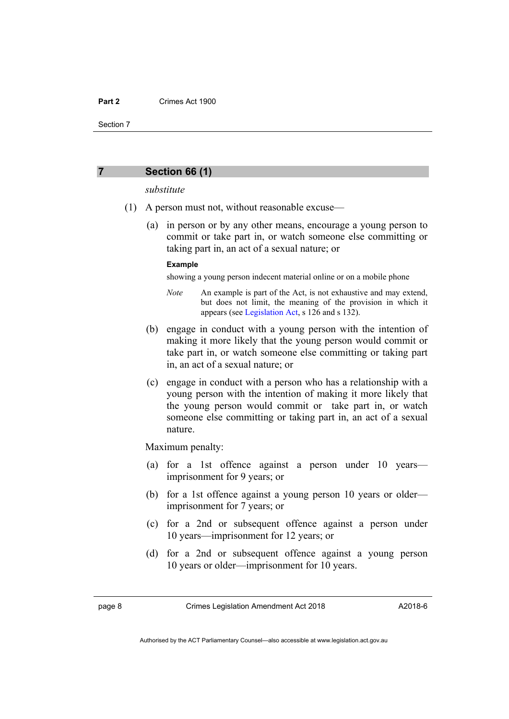Section 7

#### <span id="page-11-0"></span>**7 Section 66 (1)**

#### *substitute*

- (1) A person must not, without reasonable excuse—
	- (a) in person or by any other means, encourage a young person to commit or take part in, or watch someone else committing or taking part in, an act of a sexual nature; or

#### **Example**

showing a young person indecent material online or on a mobile phone

- *Note* An example is part of the Act, is not exhaustive and may extend, but does not limit, the meaning of the provision in which it appears (see [Legislation Act,](http://www.legislation.act.gov.au/a/2001-14) s 126 and s 132).
- (b) engage in conduct with a young person with the intention of making it more likely that the young person would commit or take part in, or watch someone else committing or taking part in, an act of a sexual nature; or
- (c) engage in conduct with a person who has a relationship with a young person with the intention of making it more likely that the young person would commit or take part in, or watch someone else committing or taking part in, an act of a sexual nature.

Maximum penalty:

- (a) for a 1st offence against a person under 10 years imprisonment for 9 years; or
- (b) for a 1st offence against a young person 10 years or older imprisonment for 7 years; or
- (c) for a 2nd or subsequent offence against a person under 10 years—imprisonment for 12 years; or
- (d) for a 2nd or subsequent offence against a young person 10 years or older—imprisonment for 10 years.

page 8 Crimes Legislation Amendment Act 2018

A2018-6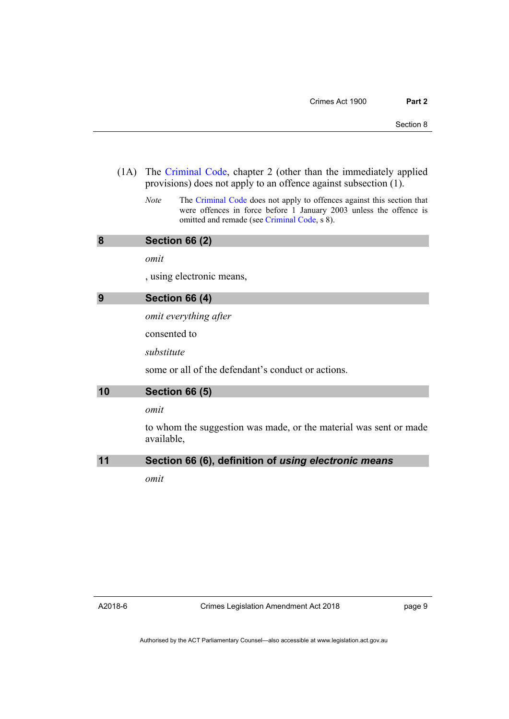- (1A) The [Criminal Code,](http://www.legislation.act.gov.au/a/2002-51) chapter 2 (other than the immediately applied provisions) does not apply to an offence against subsection (1).
	- *Note* The [Criminal Code](http://www.legislation.act.gov.au/a/2002-51) does not apply to offences against this section that were offences in force before 1 January 2003 unless the offence is omitted and remade (see [Criminal Code,](http://www.legislation.act.gov.au/a/2002-51) s 8).

#### <span id="page-12-0"></span>**8 Section 66 (2)**

*omit* 

, using electronic means,

# <span id="page-12-1"></span>**9 Section 66 (4)**

*omit everything after* 

consented to

*substitute* 

some or all of the defendant's conduct or actions.

### <span id="page-12-2"></span>**10 Section 66 (5)**

*omit* 

to whom the suggestion was made, or the material was sent or made available,

### <span id="page-12-3"></span>**11 Section 66 (6), definition of** *using electronic means*

*omit*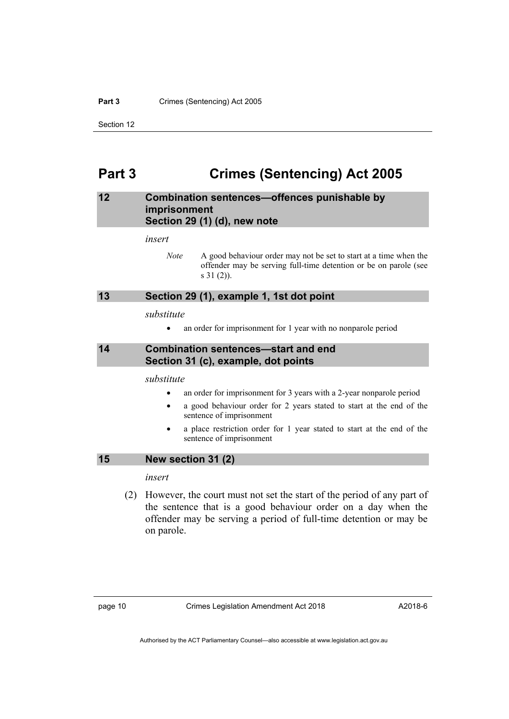#### **Part 3** Crimes (Sentencing) Act 2005

# <span id="page-13-0"></span>**Part 3 Crimes (Sentencing) Act 2005**

# <span id="page-13-1"></span>**12 Combination sentences—offences punishable by imprisonment Section 29 (1) (d), new note**

#### *insert*

*Note* A good behaviour order may not be set to start at a time when the offender may be serving full-time detention or be on parole (see s 31 (2)).

#### <span id="page-13-2"></span>**13 Section 29 (1), example 1, 1st dot point**

#### *substitute*

• an order for imprisonment for 1 year with no nonparole period

# <span id="page-13-3"></span>**14 Combination sentences—start and end Section 31 (c), example, dot points**

*substitute* 

- an order for imprisonment for 3 years with a 2-year nonparole period
- a good behaviour order for 2 years stated to start at the end of the sentence of imprisonment
- a place restriction order for 1 year stated to start at the end of the sentence of imprisonment

# <span id="page-13-4"></span>**15 New section 31 (2)**

#### *insert*

 (2) However, the court must not set the start of the period of any part of the sentence that is a good behaviour order on a day when the offender may be serving a period of full-time detention or may be on parole.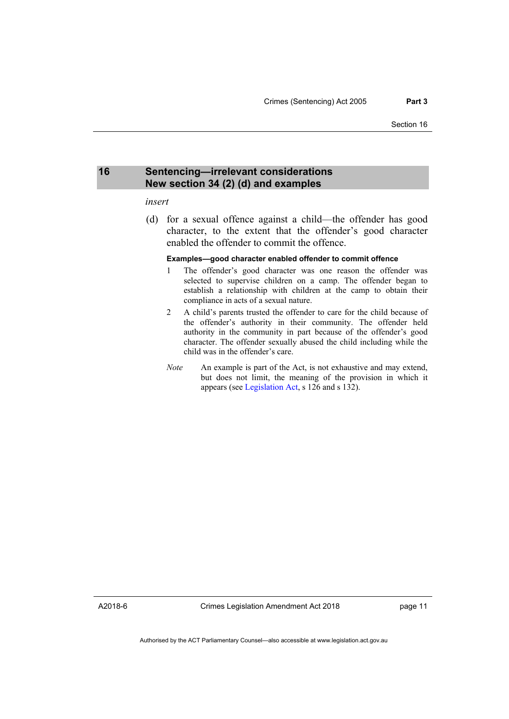### <span id="page-14-0"></span>**16 Sentencing—irrelevant considerations New section 34 (2) (d) and examples**

#### *insert*

 (d) for a sexual offence against a child—the offender has good character, to the extent that the offender's good character enabled the offender to commit the offence.

#### **Examples—good character enabled offender to commit offence**

- 1 The offender's good character was one reason the offender was selected to supervise children on a camp. The offender began to establish a relationship with children at the camp to obtain their compliance in acts of a sexual nature.
- 2 A child's parents trusted the offender to care for the child because of the offender's authority in their community. The offender held authority in the community in part because of the offender's good character. The offender sexually abused the child including while the child was in the offender's care.
- *Note* An example is part of the Act, is not exhaustive and may extend, but does not limit, the meaning of the provision in which it appears (see [Legislation Act,](http://www.legislation.act.gov.au/a/2001-14) s 126 and s 132).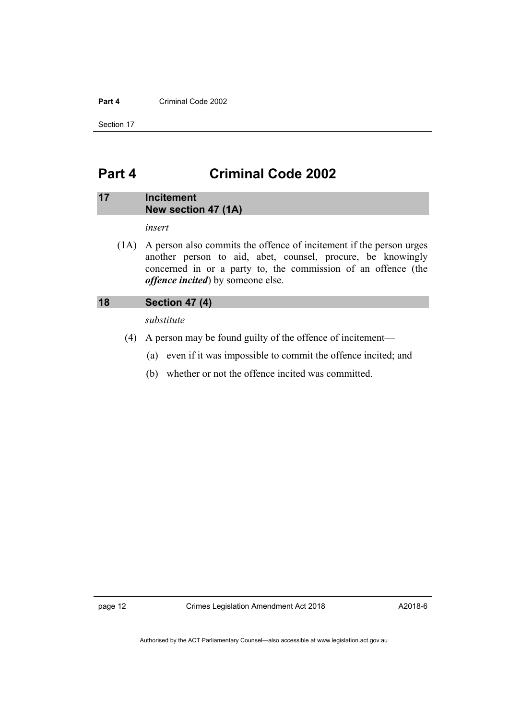#### **Part 4** Criminal Code 2002

Section 17

# <span id="page-15-0"></span>**Part 4 Criminal Code 2002**

# <span id="page-15-1"></span>**17 Incitement New section 47 (1A)**

*insert* 

 (1A) A person also commits the offence of incitement if the person urges another person to aid, abet, counsel, procure, be knowingly concerned in or a party to, the commission of an offence (the *offence incited*) by someone else.

# <span id="page-15-2"></span>**18 Section 47 (4)**

*substitute* 

- (4) A person may be found guilty of the offence of incitement—
	- (a) even if it was impossible to commit the offence incited; and
	- (b) whether or not the offence incited was committed.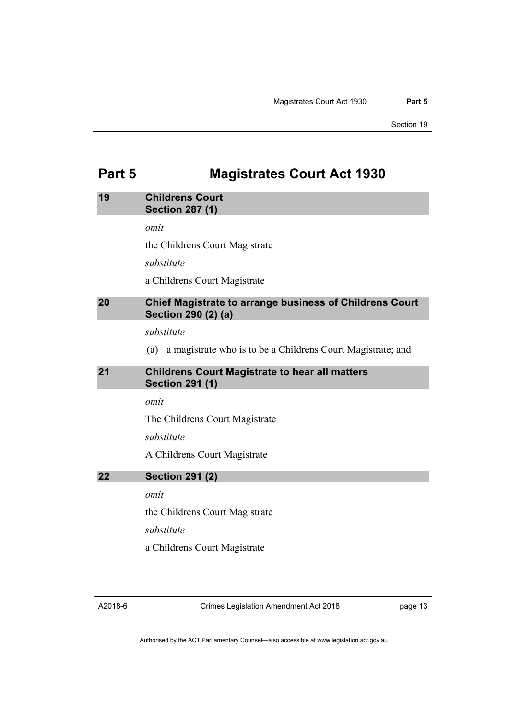# <span id="page-16-0"></span>**Part 5 Magistrates Court Act 1930**

# <span id="page-16-1"></span>**19 Childrens Court Section 287 (1)**  *omit*  the Childrens Court Magistrate *substitute*  a Childrens Court Magistrate **20 Chief Magistrate to arrange business of Childrens Court Section 290 (2) (a)**  *substitute*

(a) a magistrate who is to be a Childrens Court Magistrate; and

# <span id="page-16-3"></span><span id="page-16-2"></span>**21 Childrens Court Magistrate to hear all matters Section 291 (1)**

*omit* 

The Childrens Court Magistrate

*substitute* 

A Childrens Court Magistrate

# <span id="page-16-4"></span>**22 Section 291 (2)**

*omit* 

the Childrens Court Magistrate

*substitute* 

a Childrens Court Magistrate

Crimes Legislation Amendment Act 2018

page 13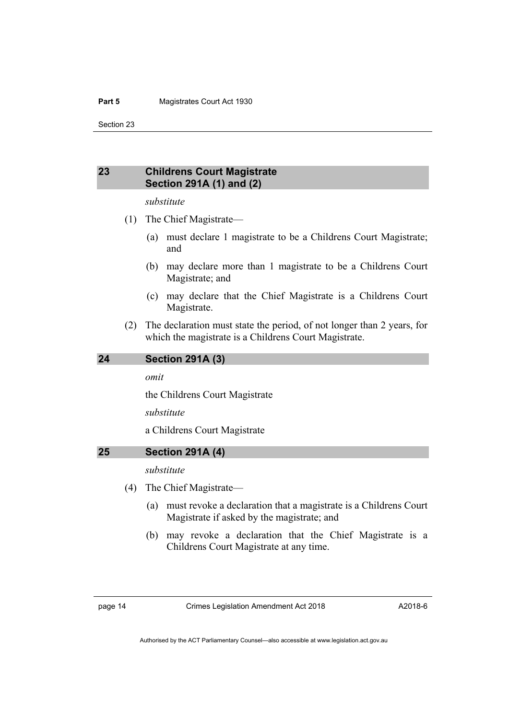Section 23

# <span id="page-17-0"></span>**23 Childrens Court Magistrate Section 291A (1) and (2)**

#### *substitute*

- (1) The Chief Magistrate—
	- (a) must declare 1 magistrate to be a Childrens Court Magistrate; and
	- (b) may declare more than 1 magistrate to be a Childrens Court Magistrate; and
	- (c) may declare that the Chief Magistrate is a Childrens Court Magistrate.
- (2) The declaration must state the period, of not longer than 2 years, for which the magistrate is a Childrens Court Magistrate.

#### <span id="page-17-1"></span>**24 Section 291A (3)**

#### *omit*

the Childrens Court Magistrate

*substitute* 

a Childrens Court Magistrate

#### <span id="page-17-2"></span>**25 Section 291A (4)**

#### *substitute*

- (4) The Chief Magistrate—
	- (a) must revoke a declaration that a magistrate is a Childrens Court Magistrate if asked by the magistrate; and
	- (b) may revoke a declaration that the Chief Magistrate is a Childrens Court Magistrate at any time.

page 14 Crimes Legislation Amendment Act 2018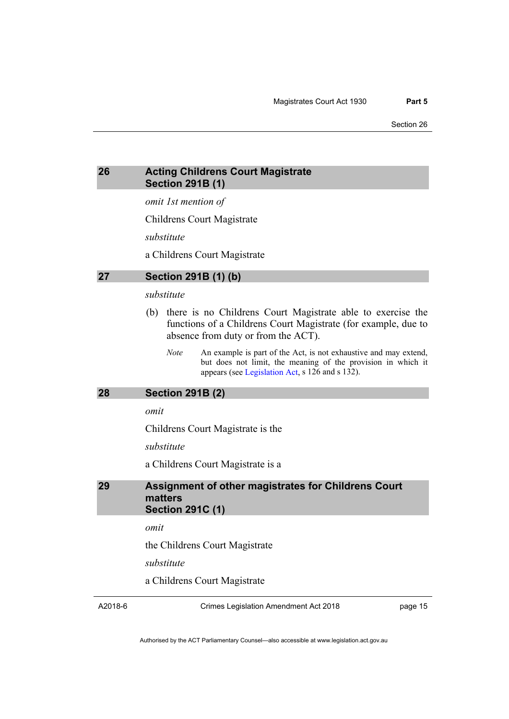# <span id="page-18-0"></span>**26 Acting Childrens Court Magistrate Section 291B (1)**

*omit 1st mention of* 

Childrens Court Magistrate

*substitute* 

a Childrens Court Magistrate

#### <span id="page-18-1"></span>**27 Section 291B (1) (b)**

# *substitute*

- (b) there is no Childrens Court Magistrate able to exercise the functions of a Childrens Court Magistrate (for example, due to absence from duty or from the ACT).
	- *Note* An example is part of the Act, is not exhaustive and may extend, but does not limit, the meaning of the provision in which it appears (see [Legislation Act,](http://www.legislation.act.gov.au/a/2001-14) s 126 and s 132).

#### <span id="page-18-2"></span>**28 Section 291B (2)**

*omit* 

Childrens Court Magistrate is the

*substitute* 

a Childrens Court Magistrate is a

### <span id="page-18-3"></span>**29 Assignment of other magistrates for Childrens Court matters Section 291C (1)**

*omit* 

the Childrens Court Magistrate

*substitute* 

a Childrens Court Magistrate

A2018-6

Crimes Legislation Amendment Act 2018

page 15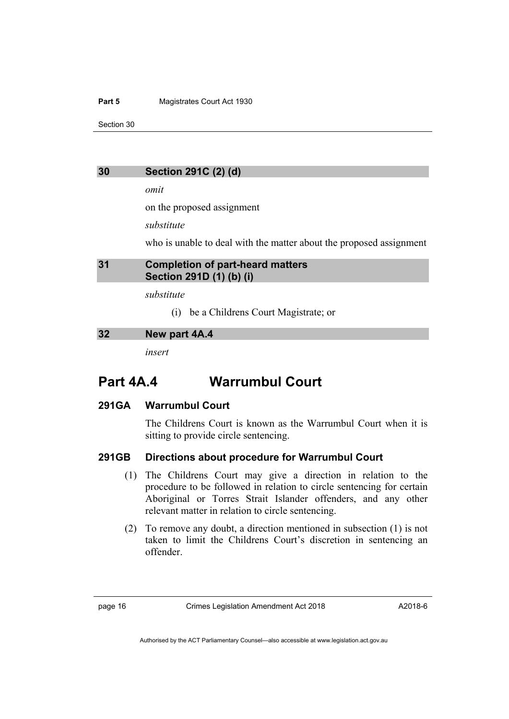#### **Part 5 Magistrates Court Act 1930**

Section 30

### <span id="page-19-0"></span>**30 Section 291C (2) (d)**

*omit* 

on the proposed assignment

*substitute* 

who is unable to deal with the matter about the proposed assignment

### <span id="page-19-1"></span>**31 Completion of part-heard matters Section 291D (1) (b) (i)**

*substitute* 

(i) be a Childrens Court Magistrate; or

#### <span id="page-19-2"></span>**32 New part 4A.4**

*insert* 

# **Part 4A.4 Warrumbul Court**

# **291GA Warrumbul Court**

The Childrens Court is known as the Warrumbul Court when it is sitting to provide circle sentencing.

# **291GB Directions about procedure for Warrumbul Court**

- (1) The Childrens Court may give a direction in relation to the procedure to be followed in relation to circle sentencing for certain Aboriginal or Torres Strait Islander offenders, and any other relevant matter in relation to circle sentencing.
- (2) To remove any doubt, a direction mentioned in subsection (1) is not taken to limit the Childrens Court's discretion in sentencing an offender.

page 16 Crimes Legislation Amendment Act 2018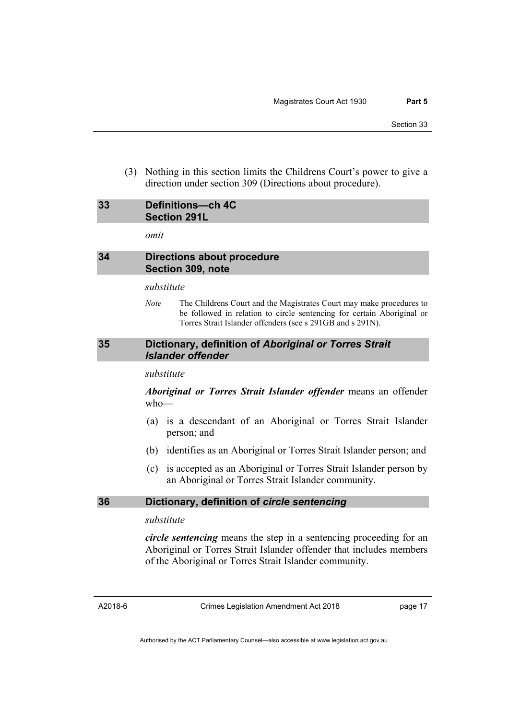(3) Nothing in this section limits the Childrens Court's power to give a direction under section 309 (Directions about procedure).

# <span id="page-20-0"></span>**33 Definitions—ch 4C Section 291L**

*omit* 

### <span id="page-20-1"></span>**34 Directions about procedure Section 309, note**

#### *substitute*

*Note* The Childrens Court and the Magistrates Court may make procedures to be followed in relation to circle sentencing for certain Aboriginal or Torres Strait Islander offenders (see s 291GB and s 291N).

### <span id="page-20-2"></span>**35 Dictionary, definition of** *Aboriginal or Torres Strait Islander offender*

#### *substitute*

*Aboriginal or Torres Strait Islander offender* means an offender who—

- (a) is a descendant of an Aboriginal or Torres Strait Islander person; and
- (b) identifies as an Aboriginal or Torres Strait Islander person; and
- (c) is accepted as an Aboriginal or Torres Strait Islander person by an Aboriginal or Torres Strait Islander community.

### <span id="page-20-3"></span>**36 Dictionary, definition of** *circle sentencing*

### *substitute*

*circle sentencing* means the step in a sentencing proceeding for an Aboriginal or Torres Strait Islander offender that includes members of the Aboriginal or Torres Strait Islander community.

A2018-6

Crimes Legislation Amendment Act 2018

page 17